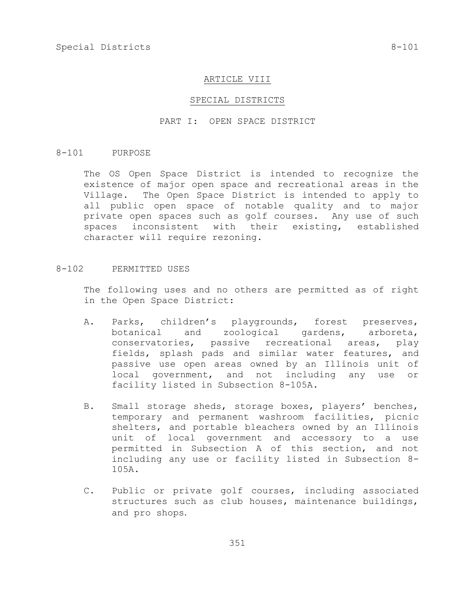#### ARTICLE VIII

#### SPECIAL DISTRICTS

## PART I: OPEN SPACE DISTRICT

#### 8-101 PURPOSE

The OS Open Space District is intended to recognize the existence of major open space and recreational areas in the Village. The Open Space District is intended to apply to all public open space of notable quality and to major private open spaces such as golf courses. Any use of such spaces inconsistent with their existing, established character will require rezoning.

# 8-102 PERMITTED USES

The following uses and no others are permitted as of right in the Open Space District:

- A. Parks, children's playgrounds, forest preserves, botanical and zoological gardens, arboreta, conservatories, passive recreational areas, play fields, splash pads and similar water features, and passive use open areas owned by an Illinois unit of local government, and not including any use or facility listed in Subsection 8-105A.
- B. Small storage sheds, storage boxes, players' benches, temporary and permanent washroom facilities, picnic shelters, and portable bleachers owned by an Illinois unit of local government and accessory to a use permitted in Subsection A of this section, and not including any use or facility listed in Subsection 8- 105A.
- C. Public or private golf courses, including associated structures such as club houses, maintenance buildings, and pro shops.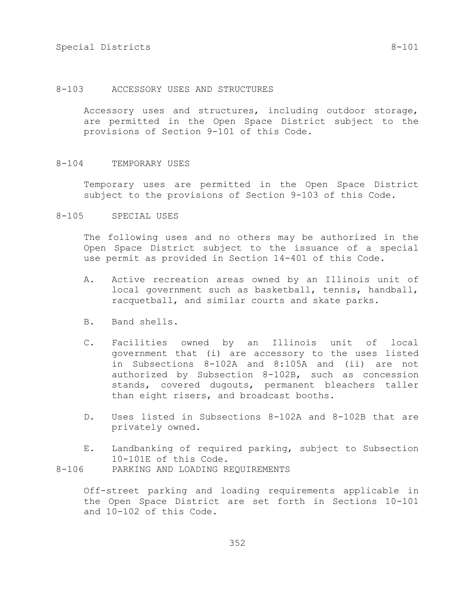## 8-103 ACCESSORY USES AND STRUCTURES

Accessory uses and structures, including outdoor storage, are permitted in the Open Space District subject to the provisions of Section 9-101 of this Code.

## 8-104 TEMPORARY USES

Temporary uses are permitted in the Open Space District subject to the provisions of Section 9-103 of this Code.

8-105 SPECIAL USES

The following uses and no others may be authorized in the Open Space District subject to the issuance of a special use permit as provided in Section 14-401 of this Code.

- A. Active recreation areas owned by an Illinois unit of local government such as basketball, tennis, handball, racquetball, and similar courts and skate parks.
- B. Band shells.
- C. Facilities owned by an Illinois unit of local government that (i) are accessory to the uses listed in Subsections 8-102A and 8:105A and (ii) are not authorized by Subsection 8-102B, such as concession stands, covered dugouts, permanent bleachers taller than eight risers, and broadcast booths.
- D. Uses listed in Subsections 8-102A and 8-102B that are privately owned.
- E. Landbanking of required parking, subject to Subsection 10-101E of this Code. 8-106 PARKING AND LOADING REQUIREMENTS

Off-street parking and loading requirements applicable in the Open Space District are set forth in Sections 10-101 and 10-102 of this Code.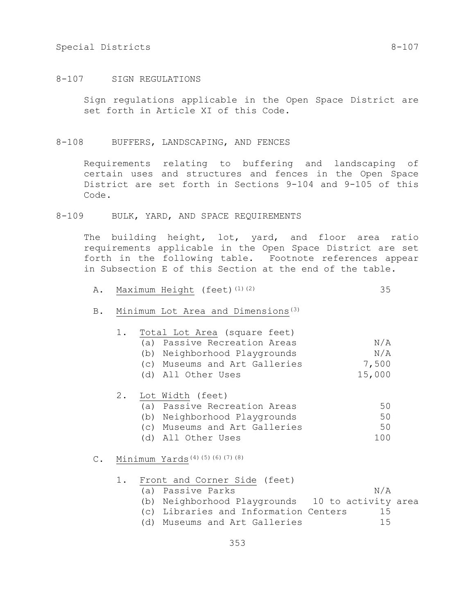# Special Districts 8-107

# 8-107 SIGN REGULATIONS

Sign regulations applicable in the Open Space District are set forth in Article XI of this Code.

## 8-108 BUFFERS, LANDSCAPING, AND FENCES

Requirements relating to buffering and landscaping of certain uses and structures and fences in the Open Space District are set forth in Sections 9-104 and 9-105 of this Code.

# 8-109 BULK, YARD, AND SPACE REQUIREMENTS

The building height, lot, yard, and floor area ratio requirements applicable in the Open Space District are set forth in the following table. Footnote references appear in Subsection E of this Section at the end of the table.

- A. Maximum Height (feet)<sup>(1)(2)</sup> 35
- B. Minimum Lot Area and Dimensions(3)

| 1. |     | Total Lot Area (square feet)  |        |
|----|-----|-------------------------------|--------|
|    |     | (a) Passive Recreation Areas  | N/A    |
|    | (b) | Neighborhood Playgrounds      | N/A    |
|    |     | (c) Museums and Art Galleries | 7,500  |
|    |     | (d) All Other Uses            | 15,000 |
|    |     | 2. Lot Width (feet)           |        |
|    |     | (a) Passive Recreation Areas  | 50     |
|    |     | (b) Neighborhood Playgrounds  | 50     |
|    |     | (c) Museums and Art Galleries | 50     |
|    |     | (d) All Other Uses            | 1 N N  |
|    |     |                               |        |

# C. Minimum Yards(4)(5)(6)(7)(8)

|  | 1. Front and Corner Side (feet)                  |     |  |
|--|--------------------------------------------------|-----|--|
|  | (a) Passive Parks                                | N/A |  |
|  | (b) Neighborhood Playgrounds 10 to activity area |     |  |
|  | (c) Libraries and Information Centers            | 15  |  |
|  | (d) Museums and Art Galleries                    | ገ ካ |  |
|  |                                                  |     |  |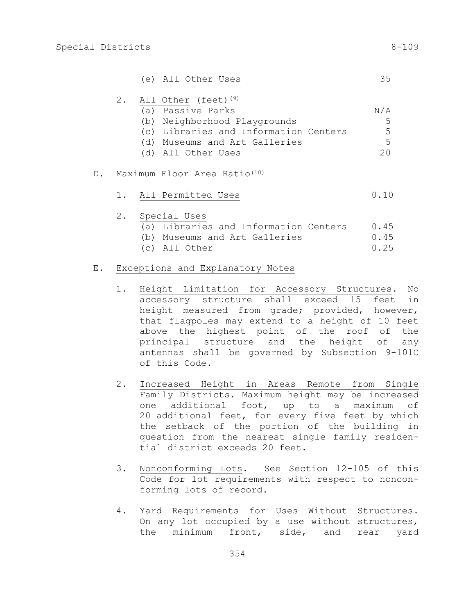|  | (e) All Other Uses |  |
|--|--------------------|--|
|  |                    |  |

|  | 2. All Other (feet) <sup>(9)</sup>    |     |
|--|---------------------------------------|-----|
|  | (a) Passive Parks                     | N/A |
|  | (b) Neighborhood Playgrounds          | -5  |
|  | (c) Libraries and Information Centers | -5  |
|  | (d) Museums and Art Galleries         | .5  |
|  | (d) All Other Uses                    | クハ  |

## D. Maximum Floor Area Ratio<sup>(10)</sup>

|  |  | All Permitted Uses |  |  |  |  |  |  |
|--|--|--------------------|--|--|--|--|--|--|
|--|--|--------------------|--|--|--|--|--|--|

|  | 2. Special Uses                       |      |
|--|---------------------------------------|------|
|  | (a) Libraries and Information Centers | 0.45 |
|  | (b) Museums and Art Galleries         | 0.45 |
|  | (c) All Other                         | 0.25 |

# E. Exceptions and Explanatory Notes

- 1. Height Limitation for Accessory Structures. No accessory structure shall exceed 15 feet in height measured from grade; provided, however, that flagpoles may extend to a height of 10 feet above the highest point of the roof of the principal structure and the height of any antennas shall be governed by Subsection 9-101C of this Code.
- 2. Increased Height in Areas Remote from Single Family Districts. Maximum height may be increased one additional foot, up to a maximum of 20 additional feet, for every five feet by which the setback of the portion of the building in question from the nearest single family residential district exceeds 20 feet.
- 3. Nonconforming Lots. See Section 12-105 of this Code for lot requirements with respect to nonconforming lots of record.
- 4. Yard Requirements for Uses Without Structures. On any lot occupied by a use without structures, the minimum front, side, and rear yard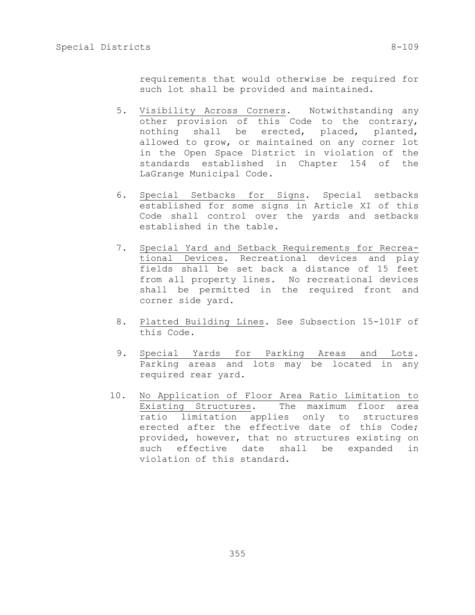requirements that would otherwise be required for such lot shall be provided and maintained.

- 5. Visibility Across Corners. Notwithstanding any other provision of this Code to the contrary, nothing shall be erected, placed, planted, allowed to grow, or maintained on any corner lot in the Open Space District in violation of the standards established in Chapter 154 of the LaGrange Municipal Code.
- 6. Special Setbacks for Signs. Special setbacks established for some signs in Article XI of this Code shall control over the yards and setbacks established in the table.
- 7. Special Yard and Setback Requirements for Recreational Devices. Recreational devices and play fields shall be set back a distance of 15 feet from all property lines. No recreational devices shall be permitted in the required front and corner side yard.
- 8. Platted Building Lines. See Subsection 15-101F of this Code.
- 9. Special Yards for Parking Areas and Lots. Parking areas and lots may be located in any required rear yard.
- 10. No Application of Floor Area Ratio Limitation to Existing Structures. The maximum floor area ratio limitation applies only to structures erected after the effective date of this Code; provided, however, that no structures existing on such effective date shall be expanded in violation of this standard.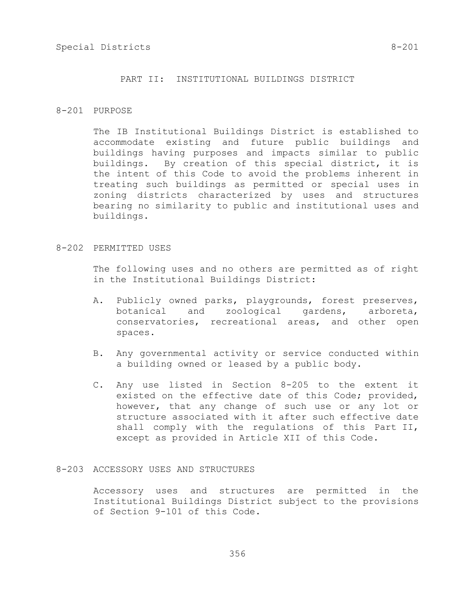## PART II: INSTITUTIONAL BUILDINGS DISTRICT

# 8-201 PURPOSE

The IB Institutional Buildings District is established to accommodate existing and future public buildings and buildings having purposes and impacts similar to public buildings. By creation of this special district, it is the intent of this Code to avoid the problems inherent in treating such buildings as permitted or special uses in zoning districts characterized by uses and structures bearing no similarity to public and institutional uses and buildings.

### 8-202 PERMITTED USES

The following uses and no others are permitted as of right in the Institutional Buildings District:

- A. Publicly owned parks, playgrounds, forest preserves, botanical and zoological gardens, arboreta, conservatories, recreational areas, and other open spaces.
- B. Any governmental activity or service conducted within a building owned or leased by a public body.
- C. Any use listed in Section 8-205 to the extent it existed on the effective date of this Code; provided, however, that any change of such use or any lot or structure associated with it after such effective date shall comply with the regulations of this Part II, except as provided in Article XII of this Code.

# 8-203 ACCESSORY USES AND STRUCTURES

Accessory uses and structures are permitted in the Institutional Buildings District subject to the provisions of Section 9-101 of this Code.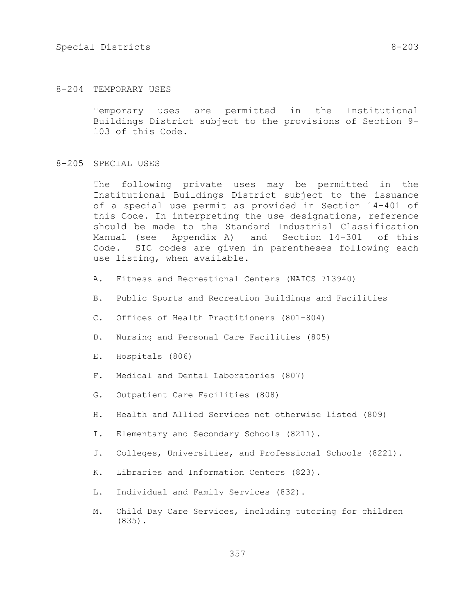## 8-204 TEMPORARY USES

Temporary uses are permitted in the Institutional Buildings District subject to the provisions of Section 9- 103 of this Code.

#### 8-205 SPECIAL USES

The following private uses may be permitted in the Institutional Buildings District subject to the issuance of a special use permit as provided in Section 14-401 of this Code. In interpreting the use designations, reference should be made to the Standard Industrial Classification Manual (see Appendix A) and Section 14-301 of this Code. SIC codes are given in parentheses following each use listing, when available.

- A. Fitness and Recreational Centers (NAICS 713940)
- B. Public Sports and Recreation Buildings and Facilities
- C. Offices of Health Practitioners (801-804)
- D. Nursing and Personal Care Facilities (805)
- E. Hospitals (806)
- F. Medical and Dental Laboratories (807)
- G. Outpatient Care Facilities (808)
- H. Health and Allied Services not otherwise listed (809)
- I. Elementary and Secondary Schools (8211).
- J. Colleges, Universities, and Professional Schools (8221).
- K. Libraries and Information Centers (823).
- L. Individual and Family Services (832).
- M. Child Day Care Services, including tutoring for children (835).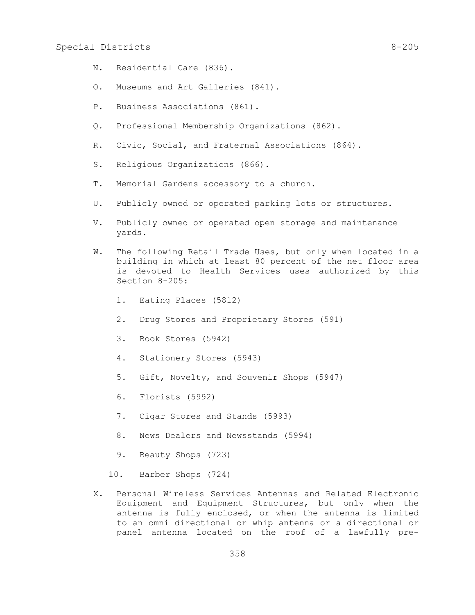- N. Residential Care (836).
- O. Museums and Art Galleries (841).
- P. Business Associations (861).
- Q. Professional Membership Organizations (862).
- R. Civic, Social, and Fraternal Associations (864).
- S. Religious Organizations (866).
- T. Memorial Gardens accessory to a church.
- U. Publicly owned or operated parking lots or structures.
- V. Publicly owned or operated open storage and maintenance yards.
- W. The following Retail Trade Uses, but only when located in a building in which at least 80 percent of the net floor area is devoted to Health Services uses authorized by this Section 8-205:
	- 1. Eating Places (5812)
	- 2. Drug Stores and Proprietary Stores (591)
	- 3. Book Stores (5942)
	- 4. Stationery Stores (5943)
	- 5. Gift, Novelty, and Souvenir Shops (5947)
	- 6. Florists (5992)
	- 7. Cigar Stores and Stands (5993)
	- 8. News Dealers and Newsstands (5994)
	- 9. Beauty Shops (723)
	- 10. Barber Shops (724)
- X. Personal Wireless Services Antennas and Related Electronic Equipment and Equipment Structures, but only when the antenna is fully enclosed, or when the antenna is limited to an omni directional or whip antenna or a directional or panel antenna located on the roof of a lawfully pre-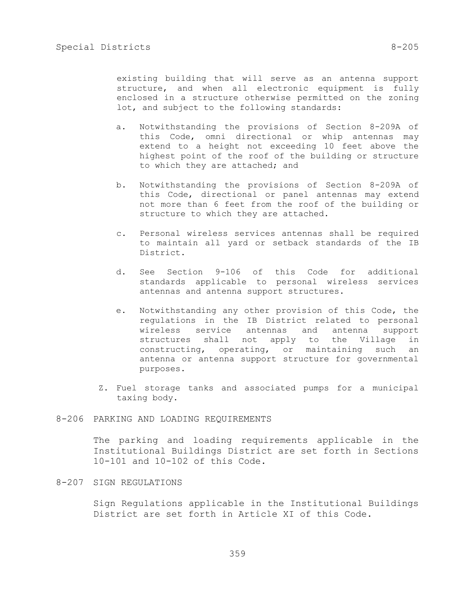existing building that will serve as an antenna support structure, and when all electronic equipment is fully enclosed in a structure otherwise permitted on the zoning lot, and subject to the following standards:

- a. Notwithstanding the provisions of Section 8-209A of this Code, omni directional or whip antennas may extend to a height not exceeding 10 feet above the highest point of the roof of the building or structure to which they are attached; and
- b. Notwithstanding the provisions of Section 8-209A of this Code, directional or panel antennas may extend not more than 6 feet from the roof of the building or structure to which they are attached.
- c. Personal wireless services antennas shall be required to maintain all yard or setback standards of the IB District.
- d. See Section 9-106 of this Code for additional standards applicable to personal wireless services antennas and antenna support structures.
- e. Notwithstanding any other provision of this Code, the regulations in the IB District related to personal wireless service antennas and antenna support structures shall not apply to the Village in constructing, operating, or maintaining such an antenna or antenna support structure for governmental purposes.
- Z. Fuel storage tanks and associated pumps for a municipal taxing body.

# 8-206 PARKING AND LOADING REQUIREMENTS

The parking and loading requirements applicable in the Institutional Buildings District are set forth in Sections 10-101 and 10-102 of this Code.

8-207 SIGN REGULATIONS

Sign Regulations applicable in the Institutional Buildings District are set forth in Article XI of this Code.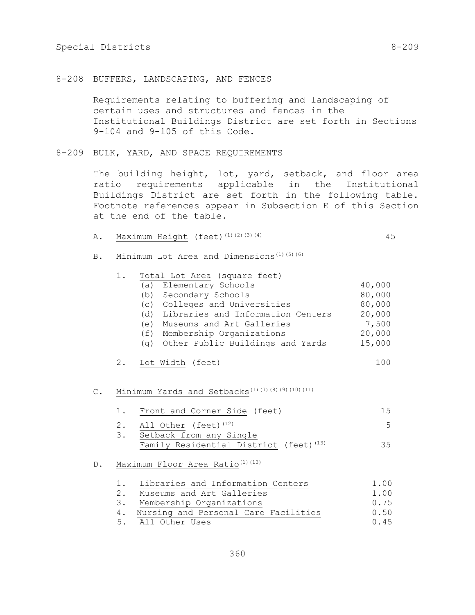Requirements relating to buffering and landscaping of certain uses and structures and fences in the Institutional Buildings District are set forth in Sections 9-104 and 9-105 of this Code.

8-209 BULK, YARD, AND SPACE REQUIREMENTS

The building height, lot, yard, setback, and floor area ratio requirements applicable in the Institutional Buildings District are set forth in the following table. Footnote references appear in Subsection E of this Section at the end of the table.

| Α. |  |  | Maximum Height (feet) $(1)$ $(2)$ $(3)$ $(4)$ |  |
|----|--|--|-----------------------------------------------|--|
|----|--|--|-----------------------------------------------|--|

B. Minimum Lot Area and Dimensions<sup>(1)(5)(6)</sup>

|                | 1. | Total Lot Area (square feet)                                |        |
|----------------|----|-------------------------------------------------------------|--------|
|                |    | (a) Elementary Schools                                      | 40,000 |
|                |    | (b) Secondary Schools                                       | 80,000 |
|                |    | (c) Colleges and Universities                               | 80,000 |
|                |    | (d) Libraries and Information Centers                       | 20,000 |
|                |    | (e) Museums and Art Galleries                               | 7,500  |
|                |    | (f) Membership Organizations                                | 20,000 |
|                |    | (g) Other Public Buildings and Yards                        | 15,000 |
|                |    | 2. Lot Width (feet)                                         | 100    |
|                |    |                                                             |        |
| $\mathsf{C}$ . |    | Minimum Yards and Setbacks <sup>(1)</sup> (7)(8)(9)(10)(11) |        |
|                | 1. | Front and Corner Side (feet)                                | 15     |
|                |    | 2. All Other (feet) <sup>(12)</sup>                         | 5      |
|                |    | 3. Setback from any Single                                  |        |
|                |    | Family Residential District (feet) <sup>(13)</sup>          | 35     |
| D.             |    | Maximum Floor Area Ratio <sup>(1)(13)</sup>                 |        |
|                |    |                                                             |        |
|                |    | 1. Libraries and Information Centers                        | 1.00   |
|                |    | 2. Museums and Art Galleries                                | 1.00   |
|                | 3. | Membership Organizations                                    | 0.75   |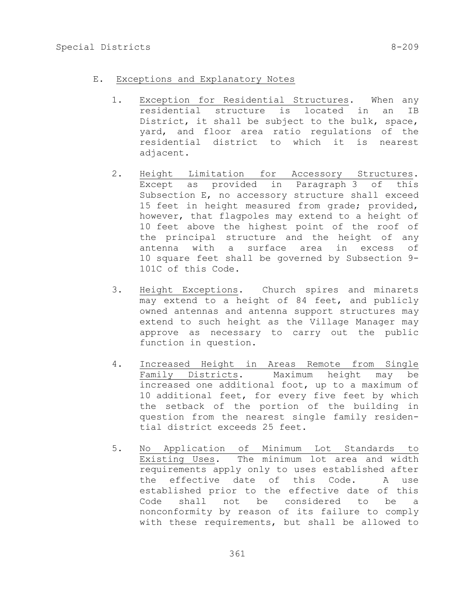- E. Exceptions and Explanatory Notes
	- 1. Exception for Residential Structures. When any residential structure is located in an IB District, it shall be subject to the bulk, space, yard, and floor area ratio regulations of the residential district to which it is nearest adjacent.
	- 2. Height Limitation for Accessory Structures. Except as provided in Paragraph 3 of this Subsection E, no accessory structure shall exceed 15 feet in height measured from grade; provided, however, that flagpoles may extend to a height of 10 feet above the highest point of the roof of the principal structure and the height of any antenna with a surface area in excess of 10 square feet shall be governed by Subsection 9- 101C of this Code.
	- 3. Height Exceptions. Church spires and minarets may extend to a height of 84 feet, and publicly owned antennas and antenna support structures may extend to such height as the Village Manager may approve as necessary to carry out the public function in question.
	- 4. Increased Height in Areas Remote from Single Family Districts. Maximum height may be increased one additional foot, up to a maximum of 10 additional feet, for every five feet by which the setback of the portion of the building in question from the nearest single family residential district exceeds 25 feet.
	- 5. No Application of Minimum Lot Standards to Existing Uses. The minimum lot area and width requirements apply only to uses established after the effective date of this Code. A use established prior to the effective date of this Code shall not be considered to be a nonconformity by reason of its failure to comply with these requirements, but shall be allowed to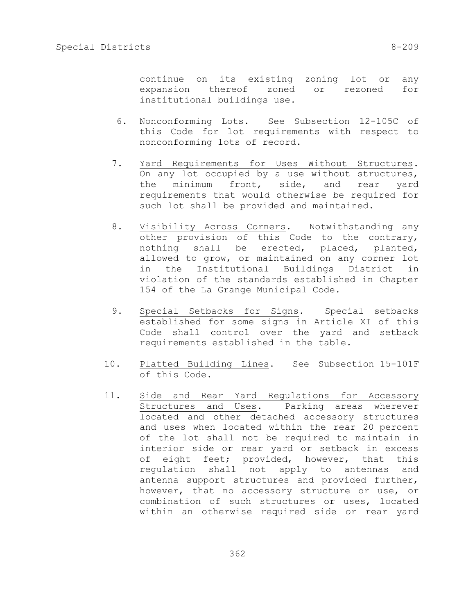continue on its existing zoning lot or any expansion thereof zoned or rezoned for institutional buildings use.

- 6. Nonconforming Lots. See Subsection 12-105C of this Code for lot requirements with respect to nonconforming lots of record.
- 7. Yard Requirements for Uses Without Structures. On any lot occupied by a use without structures, the minimum front, side, and rear yard requirements that would otherwise be required for such lot shall be provided and maintained.
- 8. Visibility Across Corners. Notwithstanding any other provision of this Code to the contrary, nothing shall be erected, placed, planted, allowed to grow, or maintained on any corner lot in the Institutional Buildings District in violation of the standards established in Chapter 154 of the La Grange Municipal Code.
- 9. Special Setbacks for Signs. Special setbacks established for some signs in Article XI of this Code shall control over the yard and setback requirements established in the table.
- 10. Platted Building Lines. See Subsection 15-101F of this Code.
- 11. Side and Rear Yard Regulations for Accessory Structures and Uses. Parking areas wherever located and other detached accessory structures and uses when located within the rear 20 percent of the lot shall not be required to maintain in interior side or rear yard or setback in excess of eight feet; provided, however, that this regulation shall not apply to antennas and antenna support structures and provided further, however, that no accessory structure or use, or combination of such structures or uses, located within an otherwise required side or rear yard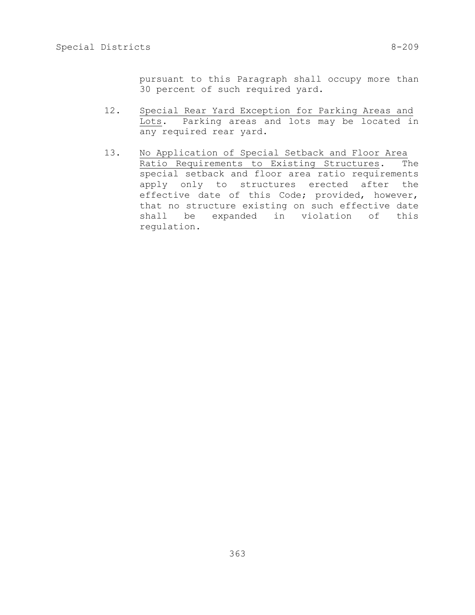pursuant to this Paragraph shall occupy more than 30 percent of such required yard.

- 12. Special Rear Yard Exception for Parking Areas and Lots. Parking areas and lots may be located in any required rear yard.
- 13. No Application of Special Setback and Floor Area Ratio Requirements to Existing Structures. The special setback and floor area ratio requirements apply only to structures erected after the effective date of this Code; provided, however, that no structure existing on such effective date shall be expanded in violation of this regulation.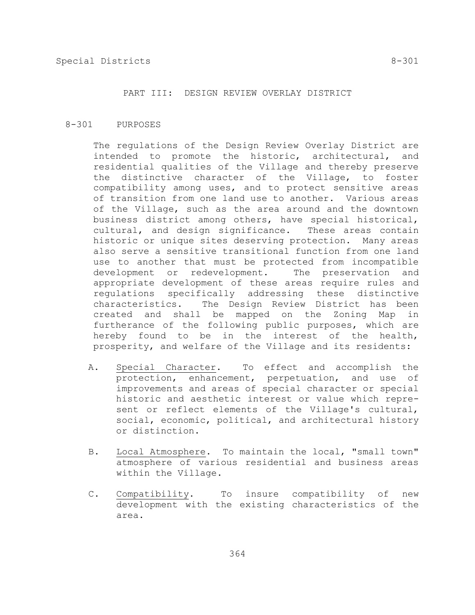#### PART III: DESIGN REVIEW OVERLAY DISTRICT

#### 8-301 PURPOSES

The regulations of the Design Review Overlay District are intended to promote the historic, architectural, and residential qualities of the Village and thereby preserve the distinctive character of the Village, to foster compatibility among uses, and to protect sensitive areas of transition from one land use to another. Various areas of the Village, such as the area around and the downtown business district among others, have special historical, cultural, and design significance. These areas contain historic or unique sites deserving protection. Many areas also serve a sensitive transitional function from one land use to another that must be protected from incompatible development or redevelopment. The preservation and appropriate development of these areas require rules and regulations specifically addressing these distinctive characteristics. The Design Review District has been created and shall be mapped on the Zoning Map in furtherance of the following public purposes, which are hereby found to be in the interest of the health, prosperity, and welfare of the Village and its residents:

- A. Special Character. To effect and accomplish the protection, enhancement, perpetuation, and use of improvements and areas of special character or special historic and aesthetic interest or value which represent or reflect elements of the Village's cultural, social, economic, political, and architectural history or distinction.
- B. Local Atmosphere. To maintain the local, "small town" atmosphere of various residential and business areas within the Village.
- C. Compatibility. To insure compatibility of new development with the existing characteristics of the area.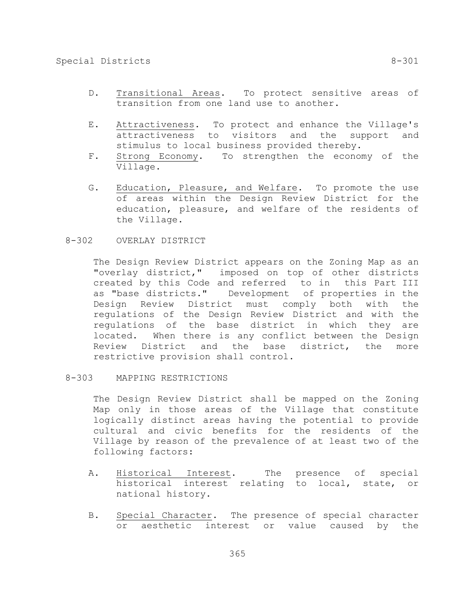- D. Transitional Areas. To protect sensitive areas of transition from one land use to another.
- E. Attractiveness. To protect and enhance the Village's attractiveness to visitors and the support and stimulus to local business provided thereby.
- F. Strong Economy. To strengthen the economy of the Village.
- G. Education, Pleasure, and Welfare. To promote the use of areas within the Design Review District for the education, pleasure, and welfare of the residents of the Village.

## 8-302 OVERLAY DISTRICT

The Design Review District appears on the Zoning Map as an "overlay district," imposed on top of other districts created by this Code and referred to in this Part III as "base districts." Development of properties in the Design Review District must comply both with the regulations of the Design Review District and with the regulations of the base district in which they are located. When there is any conflict between the Design Review District and the base district, the more restrictive provision shall control.

#### 8-303 MAPPING RESTRICTIONS

The Design Review District shall be mapped on the Zoning Map only in those areas of the Village that constitute logically distinct areas having the potential to provide cultural and civic benefits for the residents of the Village by reason of the prevalence of at least two of the following factors:

- A. Historical Interest. The presence of special historical interest relating to local, state, or national history.
- B. Special Character. The presence of special character or aesthetic interest or value caused by the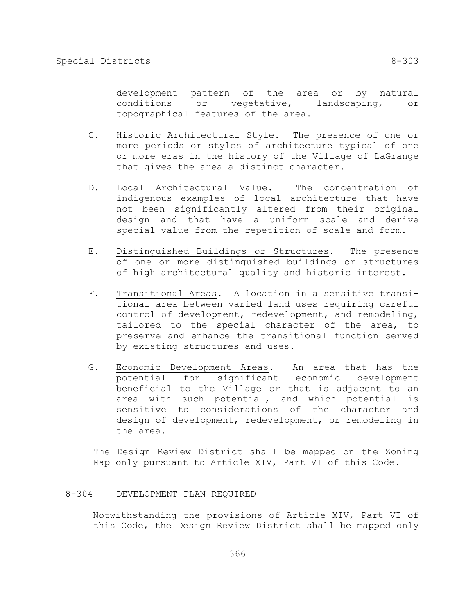development pattern of the area or by natural conditions or vegetative, landscaping, or topographical features of the area.

- C. Historic Architectural Style. The presence of one or more periods or styles of architecture typical of one or more eras in the history of the Village of LaGrange that gives the area a distinct character.
- D. Local Architectural Value. The concentration of indigenous examples of local architecture that have not been significantly altered from their original design and that have a uniform scale and derive special value from the repetition of scale and form.
- E. Distinguished Buildings or Structures. The presence of one or more distinguished buildings or structures of high architectural quality and historic interest.
- F. Transitional Areas. A location in a sensitive transitional area between varied land uses requiring careful control of development, redevelopment, and remodeling, tailored to the special character of the area, to preserve and enhance the transitional function served by existing structures and uses.
- G. Economic Development Areas. An area that has the potential for significant economic development beneficial to the Village or that is adjacent to an area with such potential, and which potential is sensitive to considerations of the character and design of development, redevelopment, or remodeling in the area.

The Design Review District shall be mapped on the Zoning Map only pursuant to Article XIV, Part VI of this Code.

#### 8-304 DEVELOPMENT PLAN REQUIRED

Notwithstanding the provisions of Article XIV, Part VI of this Code, the Design Review District shall be mapped only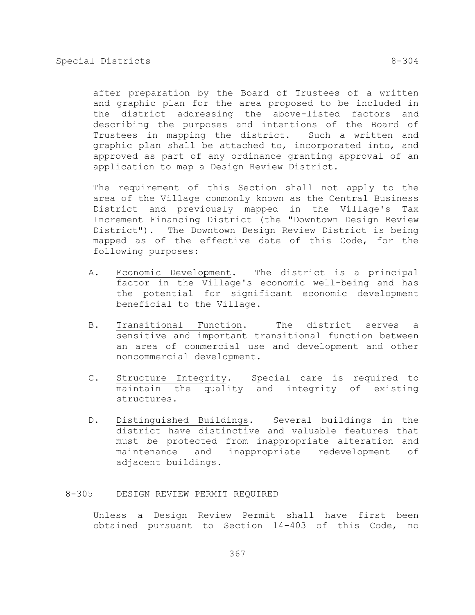after preparation by the Board of Trustees of a written and graphic plan for the area proposed to be included in the district addressing the above-listed factors and describing the purposes and intentions of the Board of

Trustees in mapping the district. Such a written and graphic plan shall be attached to, incorporated into, and approved as part of any ordinance granting approval of an application to map a Design Review District.

The requirement of this Section shall not apply to the area of the Village commonly known as the Central Business District and previously mapped in the Village's Tax Increment Financing District (the "Downtown Design Review District"). The Downtown Design Review District is being mapped as of the effective date of this Code, for the following purposes:

- A. Economic Development. The district is a principal factor in the Village's economic well-being and has the potential for significant economic development beneficial to the Village.
- B. Transitional Function. The district serves a sensitive and important transitional function between an area of commercial use and development and other noncommercial development.
- C. Structure Integrity. Special care is required to maintain the quality and integrity of existing structures.
- D. Distinguished Buildings. Several buildings in the district have distinctive and valuable features that must be protected from inappropriate alteration and maintenance and inappropriate redevelopment of adjacent buildings.

#### 8-305 DESIGN REVIEW PERMIT REQUIRED

Unless a Design Review Permit shall have first been obtained pursuant to Section 14-403 of this Code, no